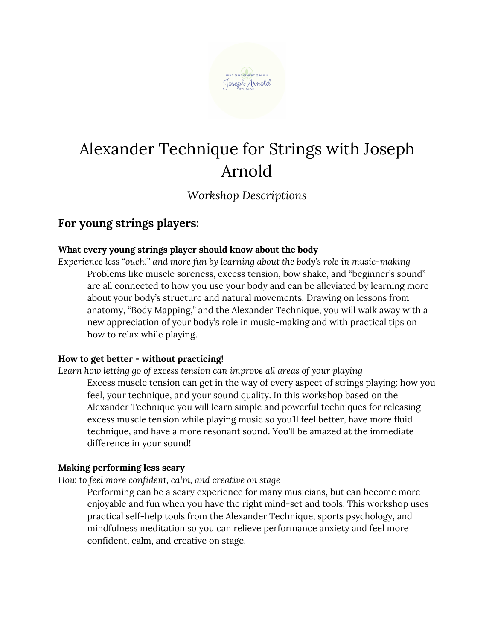

# Alexander Technique for Strings with Joseph Arnold

*Workshop Descriptions*

# **For young strings players:**

# **What every young strings player should know about the body**

*Experience less "ouch!" and more fun by learning about the body's role in music-making* Problems like muscle soreness, excess tension, bow shake, and "beginner's sound" are all connected to how you use your body and can be alleviated by learning more about your body's structure and natural movements. Drawing on lessons from anatomy, "Body Mapping," and the Alexander Technique, you will walk away with a new appreciation of your body's role in music-making and with practical tips on how to relax while playing.

# **How to get better - without practicing!**

*Learn how letting go of excess tension can improve all areas of your playing* Excess muscle tension can get in the way of every aspect of strings playing: how you feel, your technique, and your sound quality. In this workshop based on the Alexander Technique you will learn simple and powerful techniques for releasing excess muscle tension while playing music so you'll feel better, have more fluid technique, and have a more resonant sound. You'll be amazed at the immediate difference in your sound!

# **Making performing less scary**

*How to feel more confident, calm, and creative on stage*

Performing can be a scary experience for many musicians, but can become more enjoyable and fun when you have the right mind-set and tools. This workshop uses practical self-help tools from the Alexander Technique, sports psychology, and mindfulness meditation so you can relieve performance anxiety and feel more confident, calm, and creative on stage.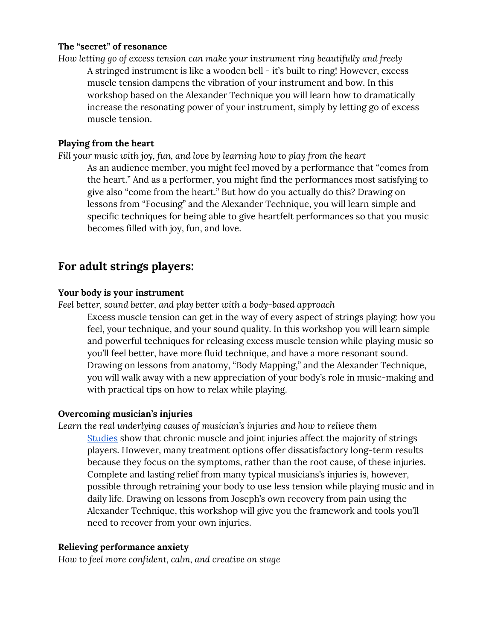### **The "secret" of resonance**

*How letting go of excess tension can make your instrument ring beautifully and freely* A stringed instrument is like a wooden bell - it's built to ring! However, excess muscle tension dampens the vibration of your instrument and bow. In this workshop based on the Alexander Technique you will learn how to dramatically increase the resonating power of your instrument, simply by letting go of excess muscle tension.

#### **Playing from the heart**

*Fill your music with joy, fun, and love by learning how to play from the heart* As an audience member, you might feel moved by a performance that "comes from the heart." And as a performer, you might find the performances most satisfying to give also "come from the heart." But how do you actually do this? Drawing on lessons from "Focusing" and the Alexander Technique, you will learn simple and specific techniques for being able to give heartfelt performances so that you music becomes filled with joy, fun, and love.

# **For adult strings players:**

#### **Your body is your instrument**

*Feel better, sound better, and play better with a body-based approach*

Excess muscle tension can get in the way of every aspect of strings playing: how you feel, your technique, and your sound quality. In this workshop you will learn simple and powerful techniques for releasing excess muscle tension while playing music so you'll feel better, have more fluid technique, and have a more resonant sound. Drawing on lessons from anatomy, "Body Mapping," and the Alexander Technique, you will walk away with a new appreciation of your body's role in music-making and with practical tips on how to relax while playing.

#### **Overcoming musician's injuries**

*Learn the real underlying causes of musician's injuries and how to relieve them* [Studies](https://www.ncbi.nlm.nih.gov/pubmed/12707974) show that chronic muscle and joint injuries affect the majority of strings players. However, many treatment options offer dissatisfactory long-term results because they focus on the symptoms, rather than the root cause, of these injuries. Complete and lasting relief from many typical musicians's injuries is, however, possible through retraining your body to use less tension while playing music and in daily life. Drawing on lessons from Joseph's own recovery from pain using the Alexander Technique, this workshop will give you the framework and tools you'll need to recover from your own injuries.

#### **Relieving performance anxiety**

*How to feel more confident, calm, and creative on stage*